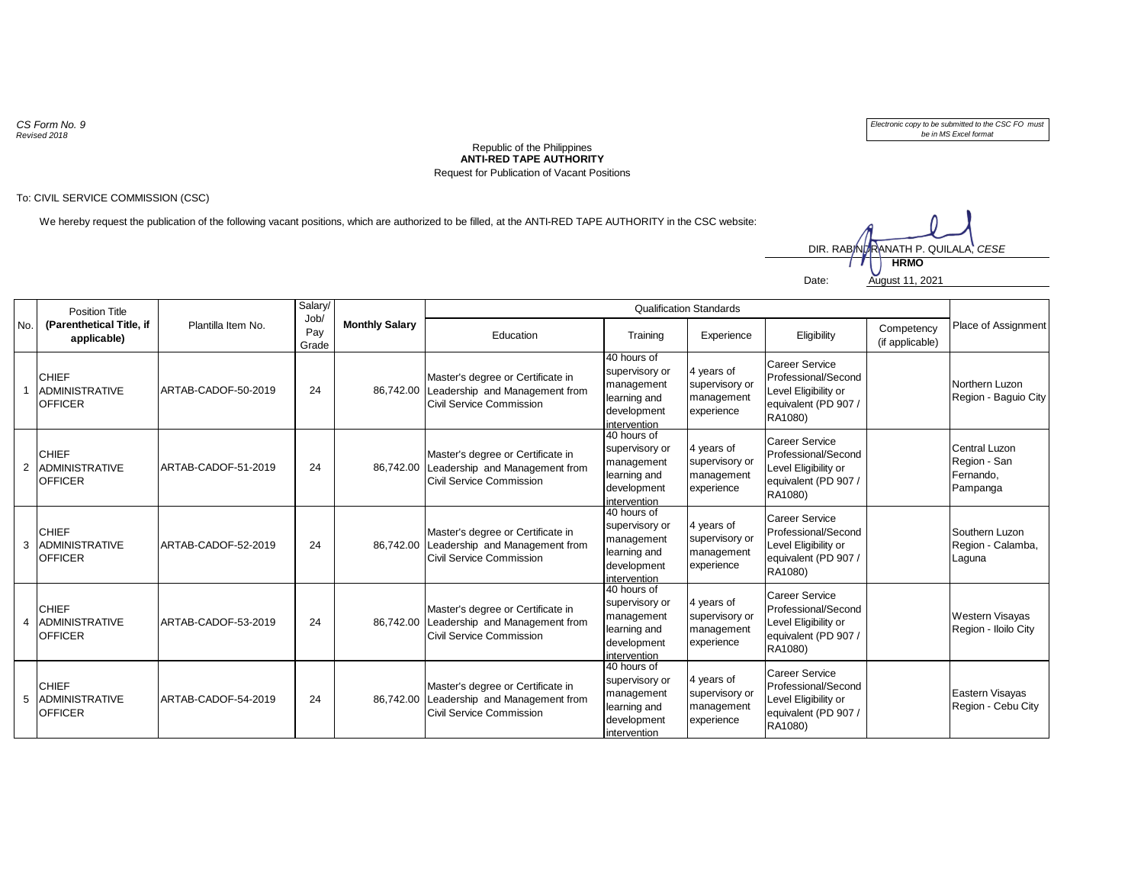*CS Form No. 9 Revised 2018*

*Electronic copy to be submitted to the CSC FO must be in MS Excel format*

## **ANTI-RED TAPE AUTHORITY** Republic of the Philippines Request for Publication of Vacant Positions

## To: CIVIL SERVICE COMMISSION (CSC)

We hereby request the publication of the following vacant positions, which are authorized to be filled, at the ANTI-RED TAPE AUTHORITY in the CSC website:

Date: August 11, 2021 **HRMO** DIR. RABINDRANATH P. QUILALA, *CESE*

| No. | <b>Position Title</b><br>(Parenthetical Title, if<br>applicable) | Plantilla Item No.  | Salary/              | <b>Monthly Salary</b> | <b>Qualification Standards</b>                                                                            |                                                                                            |                                                          |                                                                                                         |                               |                                                        |
|-----|------------------------------------------------------------------|---------------------|----------------------|-----------------------|-----------------------------------------------------------------------------------------------------------|--------------------------------------------------------------------------------------------|----------------------------------------------------------|---------------------------------------------------------------------------------------------------------|-------------------------------|--------------------------------------------------------|
|     |                                                                  |                     | Job/<br>Pay<br>Grade |                       | Education                                                                                                 | Training                                                                                   | Experience                                               | Eligibility                                                                                             | Competency<br>(if applicable) | Place of Assignment                                    |
|     | <b>CHIEF</b><br><b>ADMINISTRATIVE</b><br><b>OFFICER</b>          | ARTAB-CADOF-50-2019 | 24                   |                       | Master's degree or Certificate in<br>86,742.00 Leadership and Management from<br>Civil Service Commission | 40 hours of<br>supervisory or<br>management<br>learning and<br>development<br>intervention | 4 years of<br>supervisory or<br>management<br>experience | <b>Career Service</b><br>Professional/Second<br>Level Eligibility or<br>equivalent (PD 907 /<br>RA1080) |                               | Northern Luzon<br>Region - Baguio City                 |
|     | <b>CHIEF</b><br>2 ADMINISTRATIVE<br><b>OFFICER</b>               | ARTAB-CADOF-51-2019 | 24                   |                       | Master's degree or Certificate in<br>86,742.00 Leadership and Management from<br>Civil Service Commission | 40 hours of<br>supervisory or<br>management<br>learning and<br>development<br>intervention | 4 years of<br>supervisory or<br>management<br>experience | <b>Career Service</b><br>Professional/Second<br>Level Eligibility or<br>equivalent (PD 907 /<br>RA1080) |                               | Central Luzon<br>Region - San<br>Fernando,<br>Pampanga |
|     | <b>CHIEF</b><br>3 ADMINISTRATIVE<br><b>OFFICER</b>               | ARTAB-CADOF-52-2019 | 24                   |                       | Master's degree or Certificate in<br>86,742.00 Leadership and Management from<br>Civil Service Commission | 40 hours of<br>supervisory or<br>management<br>learning and<br>development<br>intervention | 4 years of<br>supervisory or<br>management<br>experience | <b>Career Service</b><br>Professional/Second<br>Level Eligibility or<br>equivalent (PD 907 /<br>RA1080) |                               | Southern Luzon<br>Region - Calamba,<br>Laguna          |
| 4   | <b>CHIEF</b><br><b>ADMINISTRATIVE</b><br><b>OFFICER</b>          | ARTAB-CADOF-53-2019 | 24                   |                       | Master's degree or Certificate in<br>86,742.00 Leadership and Management from<br>Civil Service Commission | 40 hours of<br>supervisory or<br>management<br>learning and<br>development<br>intervention | 4 years of<br>supervisory or<br>management<br>experience | Career Service<br>Professional/Second<br>Level Eligibility or<br>equivalent (PD 907 /<br>RA1080)        |                               | <b>Western Visayas</b><br>Region - Iloilo City         |
|     | <b>CHIEF</b><br>5 ADMINISTRATIVE<br><b>OFFICER</b>               | ARTAB-CADOF-54-2019 | 24                   | 86,742.00             | Master's degree or Certificate in<br>Leadership and Management from<br>Civil Service Commission           | 40 hours of<br>supervisory or<br>management<br>learning and<br>development<br>intervention | 4 years of<br>supervisory or<br>management<br>experience | <b>Career Service</b><br>Professional/Second<br>Level Eligibility or<br>equivalent (PD 907 /<br>RA1080) |                               | Eastern Visayas<br>Region - Cebu City                  |